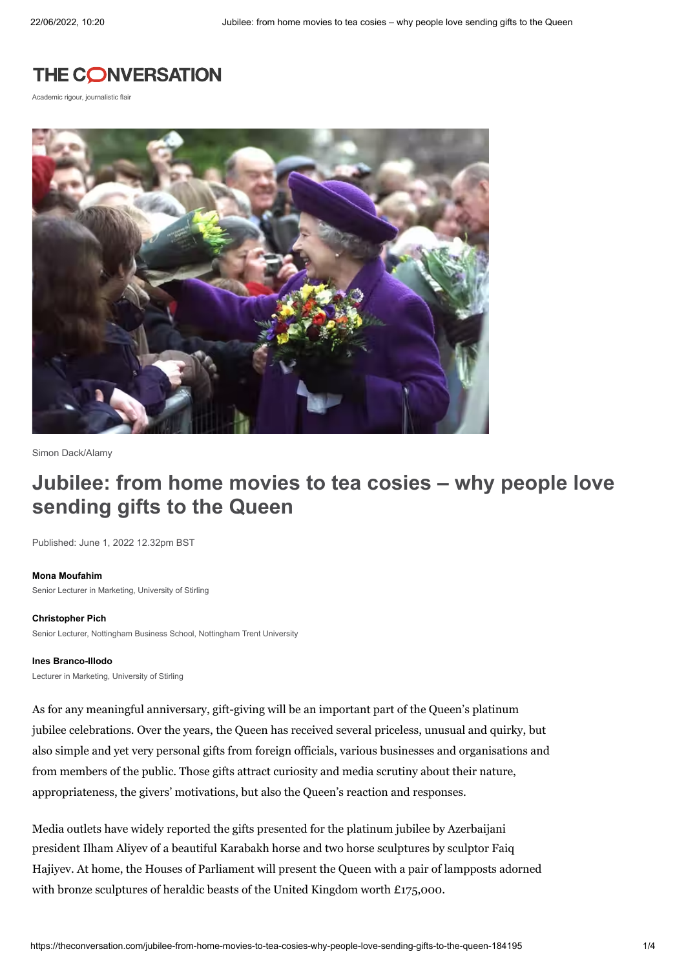## **THE CONVERSATION**

Academic rigour, journalistic flair



[Simon Dack/Alamy](https://www.alamy.com/stock-photo-the-queen-in-cheerful-mood-as-she-meets-the-waiting-crowds-who-swamp-37232249.html?pv=1&stamp=2&imageid=06007FD7-8962-4774-87EE-1C6975CA2778&p=32994&n=10&orientation=0&pn=1&searchtype=0&IsFromSearch=1)

# **Jubilee: from home movies to tea cosies – why people love sending gifts to the Queen**

Published: June 1, 2022 12.32pm BST

#### **Mona [Moufahim](https://theconversation.com/profiles/mona-moufahim-1331177)**

Senior Lecturer in Marketing, University of Stirling

#### **[Christopher](https://theconversation.com/profiles/christopher-pich-412229) Pich**

Senior Lecturer, Nottingham Business School, Nottingham Trent University

#### **Ines [Branco-Illodo](https://theconversation.com/profiles/ines-branco-illodo-1126034)**

Lecturer in Marketing, University of Stirling

As for any meaningful anniversary, gift-giving will be an important part of the Queen's platinum jubilee celebrations. Over the years, the Queen has received several priceless, [unusual](https://www.readersdigest.ca/culture/strange-gifts-queen-elizabeth-received/) and quirky, but also simple and yet very personal gifts from foreign officials, various businesses and organisations and from members of the public. Those gifts attract curiosity and media scrutiny about their nature, appropriateness, the givers' motivations, but also the Queen's reaction and responses.

Media outlets have widely reported the gifts presented for the platinum jubilee by Azerbaijani president Ilham Aliyev of a beautiful Karabakh horse and two horse [sculptures](https://www.telegraph.co.uk/royal-family/2022/05/17/queen-appears-fine-fettle-receive-gift-horse-ahead-platinum/) by sculptor Faiq Hajiyev. At home, the Houses of Parliament will present the Queen with a pair of [lampposts](https://commonslibrary.parliament.uk/platinum-jubilee-how-will-parliament-address-the-queen/) adorned with bronze sculptures of heraldic beasts of the United Kingdom worth £175,000.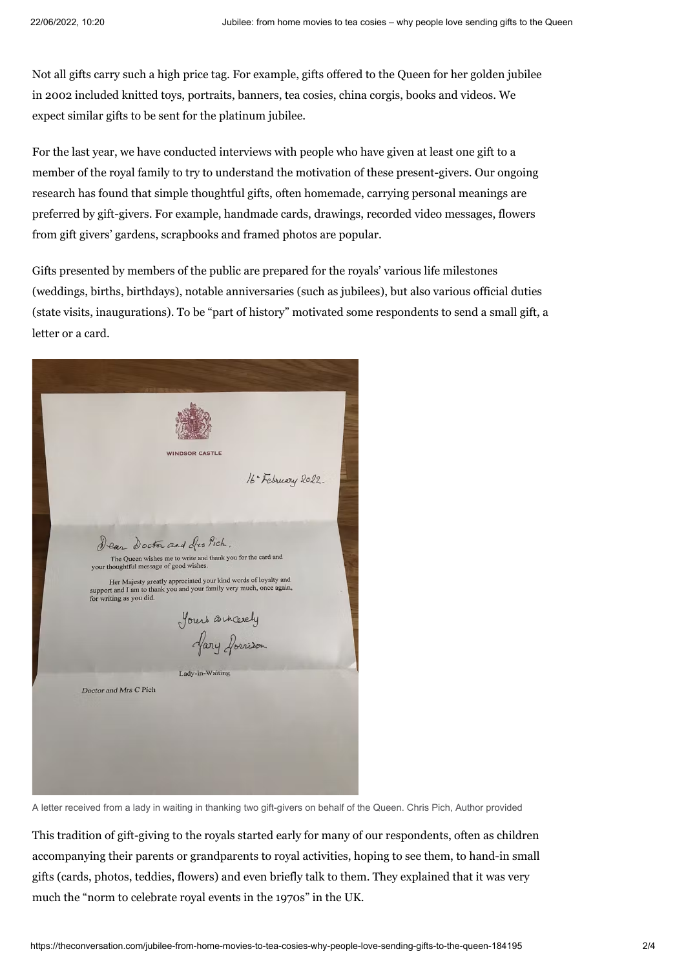Not all gifts carry such a high price tag. For example, gifts offered to the Queen for her golden jubilee in 2002 included knitted toys, [portraits,](https://eur03.safelinks.protection.outlook.com/?url=https%3A%2F%2Fwww.royal.uk%2F50-facts-about-queens-golden-jubilee&data=05%7C01%7Cmona.moufahim%40stir.ac.uk%7C4059ecd35c3d47c39e1408da42d9cace%7C4e8d09f7cc794ccb9149a4238dd17422%7C0%7C0%7C637895800421163274%7CUnknown%7CTWFpbGZsb3d8eyJWIjoiMC4wLjAwMDAiLCJQIjoiV2luMzIiLCJBTiI6Ik1haWwiLCJXVCI6Mn0%3D%7C3000%7C%7C%7C&sdata=kqA9%2BiF2rB0f0YXJDbJqr6oK2NL5E7j4bm6G9SEv33I%3D&reserved=0) banners, tea cosies, china corgis, books and videos. We expect similar gifts to be sent for the platinum jubilee.

For the last year, we have conducted interviews with people who have given at least one gift to a member of the royal family to try to understand the motivation of these [present-givers.](https://www.stir.ac.uk/news/2021/june-2021-news/why-people-give-gifts-to-the-british-royal-family) Our ongoing research has found that simple thoughtful gifts, often homemade, carrying personal meanings are preferred by gift-givers. For example, handmade cards, drawings, recorded video messages, flowers from gift givers' gardens, scrapbooks and framed photos are popular.

Gifts presented by members of the public are prepared for the royals' various life milestones (weddings, births, birthdays), notable anniversaries (such as jubilees), but also various official duties (state visits, inaugurations). To be "part of history" motivated some respondents to send a small gift, a letter or a card.



A letter received from a lady in waiting in thanking two gift-givers on behalf of the Queen. Chris Pich, Author provided

This tradition of gift-giving to the royals started early for many of our respondents, often as children accompanying their parents or grandparents to royal activities, hoping to see them, to hand-in small gifts (cards, photos, teddies, flowers) and even briefly talk to them. They explained that it was very much the "norm to celebrate royal events in the 1970s" in the UK.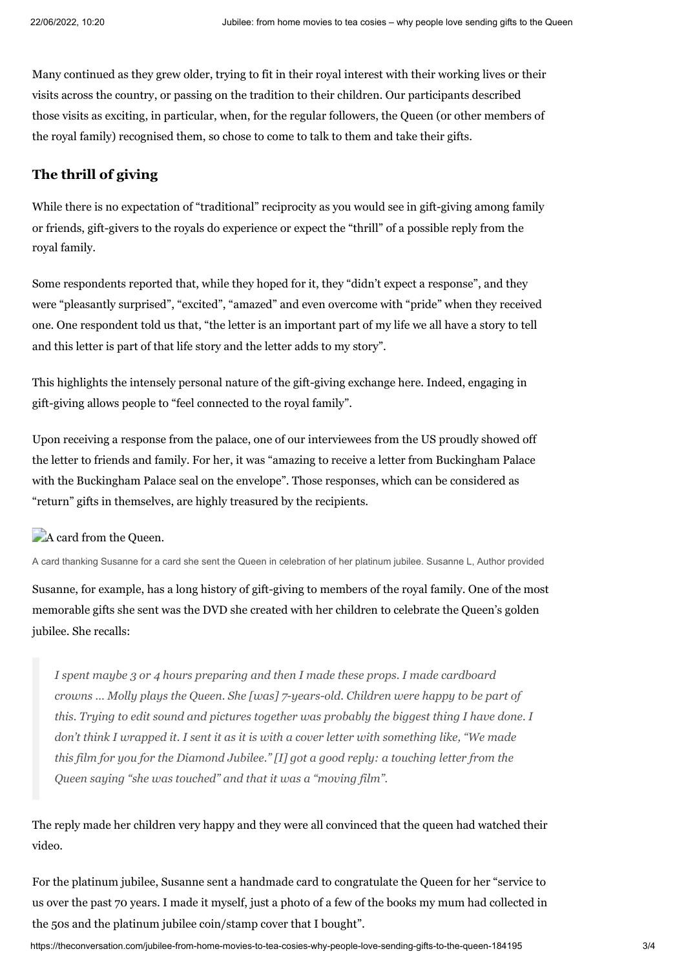Many continued as they grew older, trying to fit in their royal interest with their working lives or their visits across the country, or passing on the tradition to their children. Our participants described those visits as exciting, in particular, when, for the regular followers, the Queen (or other members of the royal family) recognised them, so chose to come to talk to them and take their gifts.

### **The thrill of giving**

While there is no expectation of "traditional" reciprocity as you would see in gift-giving among family or friends, gift-givers to the royals do experience or expect the "thrill" of a possible reply from the royal family.

Some respondents reported that, while they hoped for it, they "didn't expect a response", and they were "pleasantly surprised", "excited", "amazed" and even overcome with "pride" when they received one. One respondent told us that, "the letter is an important part of my life we all have a story to tell and this letter is part of that life story and the letter adds to my story".

This highlights the intensely personal nature of the gift-giving exchange here. Indeed, engaging in gift-giving allows people to "feel connected to the royal family".

Upon receiving a response from the palace, one of our interviewees from the US proudly showed off the letter to friends and family. For her, it was "amazing to receive a letter from Buckingham Palace with the Buckingham Palace seal on the envelope". Those responses, which can be considered as "return" gifts in themselves, are highly treasured by the recipients.

## A card from the Queen.

A card thanking Susanne for a card she sent the Queen in celebration of her platinum jubilee. Susanne L, Author provided

Susanne, for example, has a long history of gift-giving to members of the royal family. One of the most memorable gifts she sent was the DVD she created with her children to celebrate the Queen's golden jubilee. She recalls:

*I spent maybe 3 or 4 hours preparing and then I made these props. I made cardboard crowns … Molly plays the Queen. She [was] 7-years-old. Children were happy to be part of this. Trying to edit sound and pictures together was probably the biggest thing I have done. I* don't think I wrapped it. I sent it as it is with a cover letter with something like, "We made *this film for you for the Diamond Jubilee." [I] got a good reply: a touching letter from the Queen saying "she was touched" and that it was a "moving film".*

The reply made her children very happy and they were all convinced that the queen had watched their video.

For the platinum jubilee, Susanne sent a handmade card to congratulate the Queen for her "service to us over the past 70 years. I made it myself, just a photo of a few of the books my mum had collected in the 50s and the platinum jubilee coin/stamp cover that I bought".